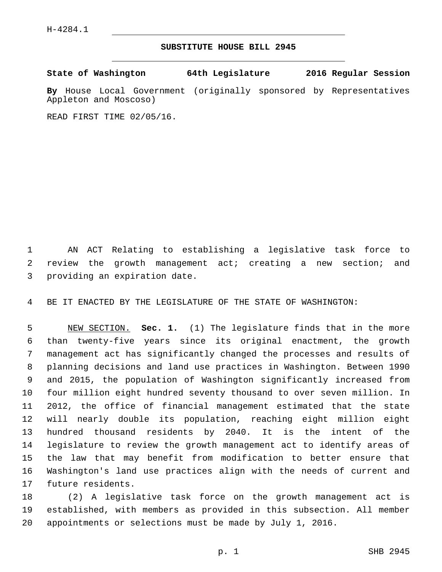## **SUBSTITUTE HOUSE BILL 2945**

**State of Washington 64th Legislature 2016 Regular Session**

**By** House Local Government (originally sponsored by Representatives Appleton and Moscoso)

READ FIRST TIME 02/05/16.

 AN ACT Relating to establishing a legislative task force to review the growth management act; creating a new section; and 3 providing an expiration date.

BE IT ENACTED BY THE LEGISLATURE OF THE STATE OF WASHINGTON:

 NEW SECTION. **Sec. 1.** (1) The legislature finds that in the more than twenty-five years since its original enactment, the growth management act has significantly changed the processes and results of planning decisions and land use practices in Washington. Between 1990 and 2015, the population of Washington significantly increased from four million eight hundred seventy thousand to over seven million. In 2012, the office of financial management estimated that the state will nearly double its population, reaching eight million eight hundred thousand residents by 2040. It is the intent of the legislature to review the growth management act to identify areas of the law that may benefit from modification to better ensure that Washington's land use practices align with the needs of current and future residents.

 (2) A legislative task force on the growth management act is established, with members as provided in this subsection. All member appointments or selections must be made by July 1, 2016.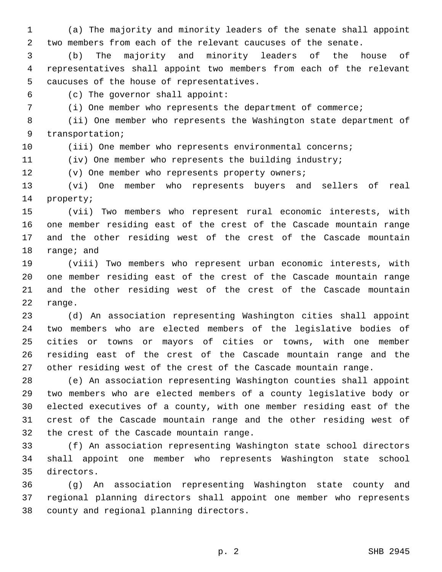(a) The majority and minority leaders of the senate shall appoint two members from each of the relevant caucuses of the senate.

 (b) The majority and minority leaders of the house of representatives shall appoint two members from each of the relevant 5 caucuses of the house of representatives.

(c) The governor shall appoint:6

(i) One member who represents the department of commerce;

 (ii) One member who represents the Washington state department of 9 transportation;

10 (iii) One member who represents environmental concerns;

(iv) One member who represents the building industry;

(v) One member who represents property owners;

 (vi) One member who represents buyers and sellers of real 14 property;

 (vii) Two members who represent rural economic interests, with one member residing east of the crest of the Cascade mountain range and the other residing west of the crest of the Cascade mountain 18 range; and

 (viii) Two members who represent urban economic interests, with one member residing east of the crest of the Cascade mountain range and the other residing west of the crest of the Cascade mountain 22 range.

 (d) An association representing Washington cities shall appoint two members who are elected members of the legislative bodies of cities or towns or mayors of cities or towns, with one member residing east of the crest of the Cascade mountain range and the other residing west of the crest of the Cascade mountain range.

 (e) An association representing Washington counties shall appoint two members who are elected members of a county legislative body or elected executives of a county, with one member residing east of the crest of the Cascade mountain range and the other residing west of 32 the crest of the Cascade mountain range.

 (f) An association representing Washington state school directors shall appoint one member who represents Washington state school directors.35

 (g) An association representing Washington state county and regional planning directors shall appoint one member who represents 38 county and regional planning directors.